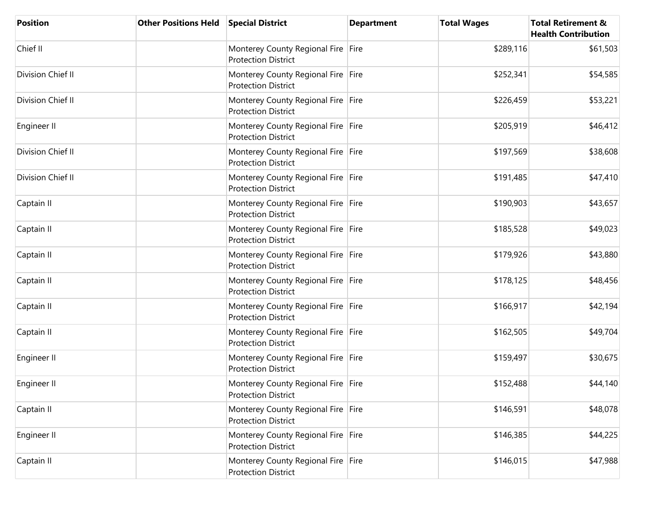| <b>Position</b>   | <b>Other Positions Held</b> | <b>Special District</b>                                          | <b>Department</b> | <b>Total Wages</b> | <b>Total Retirement &amp;</b><br><b>Health Contribution</b> |
|-------------------|-----------------------------|------------------------------------------------------------------|-------------------|--------------------|-------------------------------------------------------------|
| Chief II          |                             | Monterey County Regional Fire Fire<br><b>Protection District</b> |                   | \$289,116          | \$61,503                                                    |
| Division Chief II |                             | Monterey County Regional Fire Fire<br><b>Protection District</b> |                   | \$252,341          | \$54,585                                                    |
| Division Chief II |                             | Monterey County Regional Fire Fire<br><b>Protection District</b> |                   | \$226,459          | \$53,221                                                    |
| Engineer II       |                             | Monterey County Regional Fire Fire<br><b>Protection District</b> |                   | \$205,919          | \$46,412                                                    |
| Division Chief II |                             | Monterey County Regional Fire Fire<br><b>Protection District</b> |                   | \$197,569          | \$38,608                                                    |
| Division Chief II |                             | Monterey County Regional Fire Fire<br><b>Protection District</b> |                   | \$191,485          | \$47,410                                                    |
| Captain II        |                             | Monterey County Regional Fire Fire<br><b>Protection District</b> |                   | \$190,903          | \$43,657                                                    |
| Captain II        |                             | Monterey County Regional Fire Fire<br><b>Protection District</b> |                   | \$185,528          | \$49,023                                                    |
| Captain II        |                             | Monterey County Regional Fire Fire<br><b>Protection District</b> |                   | \$179,926          | \$43,880                                                    |
| Captain II        |                             | Monterey County Regional Fire Fire<br><b>Protection District</b> |                   | \$178,125          | \$48,456                                                    |
| Captain II        |                             | Monterey County Regional Fire Fire<br><b>Protection District</b> |                   | \$166,917          | \$42,194                                                    |
| Captain II        |                             | Monterey County Regional Fire Fire<br><b>Protection District</b> |                   | \$162,505          | \$49,704                                                    |
| Engineer II       |                             | Monterey County Regional Fire Fire<br><b>Protection District</b> |                   | \$159,497          | \$30,675                                                    |
| Engineer II       |                             | Monterey County Regional Fire Fire<br><b>Protection District</b> |                   | \$152,488          | \$44,140                                                    |
| Captain II        |                             | Monterey County Regional Fire Fire<br><b>Protection District</b> |                   | \$146,591          | \$48,078                                                    |
| Engineer II       |                             | Monterey County Regional Fire Fire<br><b>Protection District</b> |                   | \$146,385          | \$44,225                                                    |
| Captain II        |                             | Monterey County Regional Fire Fire<br><b>Protection District</b> |                   | \$146,015          | \$47,988                                                    |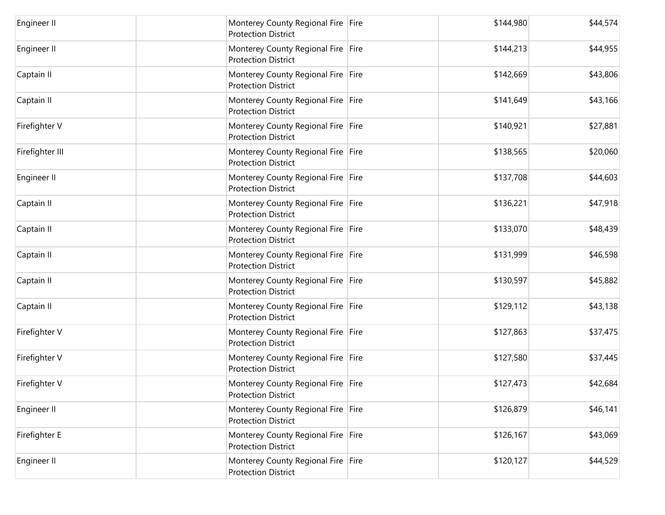| <b>Engineer II</b> | Monterey County Regional Fire Fire<br><b>Protection District</b> | \$144,980 | \$44,574 |
|--------------------|------------------------------------------------------------------|-----------|----------|
| Engineer II        | Monterey County Regional Fire Fire<br><b>Protection District</b> | \$144,213 | \$44,955 |
| Captain II         | Monterey County Regional Fire Fire<br><b>Protection District</b> | \$142,669 | \$43,806 |
| Captain II         | Monterey County Regional Fire Fire<br><b>Protection District</b> | \$141,649 | \$43,166 |
| Firefighter V      | Monterey County Regional Fire Fire<br><b>Protection District</b> | \$140,921 | \$27,881 |
| Firefighter III    | Monterey County Regional Fire Fire<br><b>Protection District</b> | \$138,565 | \$20,060 |
| <b>Engineer II</b> | Monterey County Regional Fire Fire<br><b>Protection District</b> | \$137,708 | \$44,603 |
| Captain II         | Monterey County Regional Fire Fire<br><b>Protection District</b> | \$136,221 | \$47,918 |
| Captain II         | Monterey County Regional Fire Fire<br><b>Protection District</b> | \$133,070 | \$48,439 |
| Captain II         | Monterey County Regional Fire Fire<br><b>Protection District</b> | \$131,999 | \$46,598 |
| Captain II         | Monterey County Regional Fire Fire<br><b>Protection District</b> | \$130,597 | \$45,882 |
| Captain II         | Monterey County Regional Fire Fire<br><b>Protection District</b> | \$129,112 | \$43,138 |
| Firefighter V      | Monterey County Regional Fire Fire<br><b>Protection District</b> | \$127,863 | \$37,475 |
| Firefighter V      | Monterey County Regional Fire Fire<br><b>Protection District</b> | \$127,580 | \$37,445 |
| Firefighter V      | Monterey County Regional Fire Fire<br><b>Protection District</b> | \$127,473 | \$42,684 |
| Engineer II        | Monterey County Regional Fire Fire<br><b>Protection District</b> | \$126,879 | \$46,141 |
| Firefighter E      | Monterey County Regional Fire Fire<br><b>Protection District</b> | \$126,167 | \$43,069 |
| <b>Engineer II</b> | Monterey County Regional Fire Fire<br><b>Protection District</b> | \$120,127 | \$44,529 |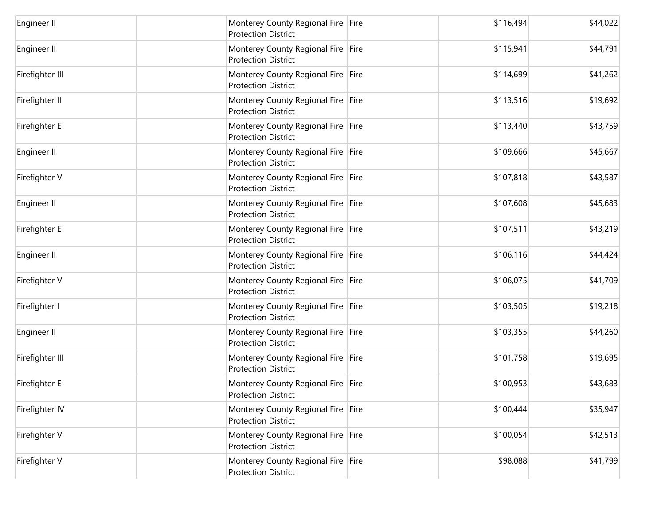| Engineer II     | Monterey County Regional Fire Fire<br><b>Protection District</b> | \$116,494 | \$44,022 |
|-----------------|------------------------------------------------------------------|-----------|----------|
| Engineer II     | Monterey County Regional Fire Fire<br><b>Protection District</b> | \$115,941 | \$44,791 |
| Firefighter III | Monterey County Regional Fire Fire<br><b>Protection District</b> | \$114,699 | \$41,262 |
| Firefighter II  | Monterey County Regional Fire Fire<br><b>Protection District</b> | \$113,516 | \$19,692 |
| Firefighter E   | Monterey County Regional Fire Fire<br><b>Protection District</b> | \$113,440 | \$43,759 |
| Engineer II     | Monterey County Regional Fire Fire<br><b>Protection District</b> | \$109,666 | \$45,667 |
| Firefighter V   | Monterey County Regional Fire Fire<br><b>Protection District</b> | \$107,818 | \$43,587 |
| Engineer II     | Monterey County Regional Fire Fire<br><b>Protection District</b> | \$107,608 | \$45,683 |
| Firefighter E   | Monterey County Regional Fire Fire<br><b>Protection District</b> | \$107,511 | \$43,219 |
| Engineer II     | Monterey County Regional Fire Fire<br><b>Protection District</b> | \$106,116 | \$44,424 |
| Firefighter V   | Monterey County Regional Fire Fire<br><b>Protection District</b> | \$106,075 | \$41,709 |
| Firefighter I   | Monterey County Regional Fire Fire<br><b>Protection District</b> | \$103,505 | \$19,218 |
| Engineer II     | Monterey County Regional Fire Fire<br><b>Protection District</b> | \$103,355 | \$44,260 |
| Firefighter III | Monterey County Regional Fire Fire<br><b>Protection District</b> | \$101,758 | \$19,695 |
| Firefighter E   | Monterey County Regional Fire Fire<br><b>Protection District</b> | \$100,953 | \$43,683 |
| Firefighter IV  | Monterey County Regional Fire Fire<br><b>Protection District</b> | \$100,444 | \$35,947 |
| Firefighter V   | Monterey County Regional Fire Fire<br><b>Protection District</b> | \$100,054 | \$42,513 |
| Firefighter V   | Monterey County Regional Fire Fire<br><b>Protection District</b> | \$98,088  | \$41,799 |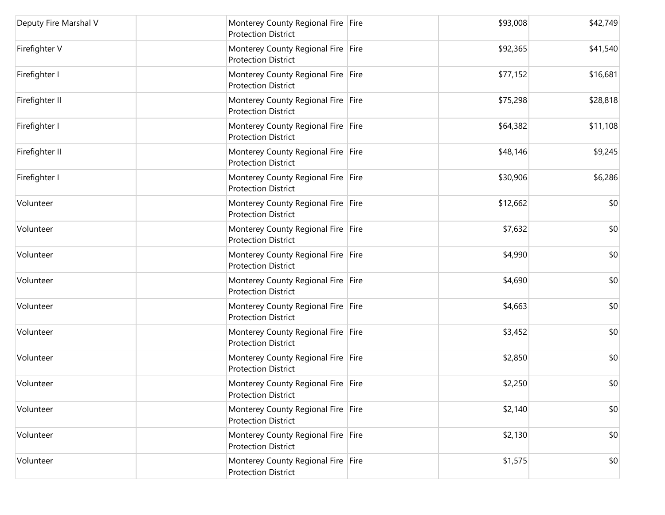| Deputy Fire Marshal V | Monterey County Regional Fire Fire<br><b>Protection District</b>   | \$93,008 | \$42,749 |
|-----------------------|--------------------------------------------------------------------|----------|----------|
| Firefighter V         | Monterey County Regional Fire Fire<br><b>Protection District</b>   | \$92,365 | \$41,540 |
| Firefighter I         | Monterey County Regional Fire Fire<br><b>Protection District</b>   | \$77,152 | \$16,681 |
| Firefighter II        | Monterey County Regional Fire Fire<br><b>Protection District</b>   | \$75,298 | \$28,818 |
| Firefighter I         | Monterey County Regional Fire Fire<br><b>Protection District</b>   | \$64,382 | \$11,108 |
| Firefighter II        | Monterey County Regional Fire Fire<br><b>Protection District</b>   | \$48,146 | \$9,245  |
| Firefighter I         | Monterey County Regional Fire   Fire<br><b>Protection District</b> | \$30,906 | \$6,286  |
| Volunteer             | Monterey County Regional Fire Fire<br><b>Protection District</b>   | \$12,662 | \$0      |
| Volunteer             | Monterey County Regional Fire Fire<br><b>Protection District</b>   | \$7,632  | \$0      |
| Volunteer             | Monterey County Regional Fire Fire<br><b>Protection District</b>   | \$4,990  | \$0      |
| Volunteer             | Monterey County Regional Fire Fire<br><b>Protection District</b>   | \$4,690  | \$0      |
| Volunteer             | Monterey County Regional Fire Fire<br><b>Protection District</b>   | \$4,663  | \$0      |
| Volunteer             | Monterey County Regional Fire Fire<br><b>Protection District</b>   | \$3,452  | \$0      |
| Volunteer             | Monterey County Regional Fire Fire<br><b>Protection District</b>   | \$2,850  | \$0      |
| Volunteer             | Monterey County Regional Fire Fire<br><b>Protection District</b>   | \$2,250  | \$0      |
| Volunteer             | Monterey County Regional Fire Fire<br><b>Protection District</b>   | \$2,140  | \$0      |
| Volunteer             | Monterey County Regional Fire Fire<br><b>Protection District</b>   | \$2,130  | \$0      |
| Volunteer             | Monterey County Regional Fire Fire<br><b>Protection District</b>   | \$1,575  | \$0      |